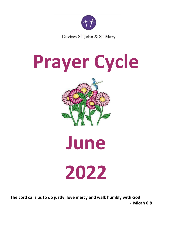

# **Prayer Cycle**



**June 2022**

**The Lord calls us to do justly, love mercy and walk humbly with God - Micah 6:8**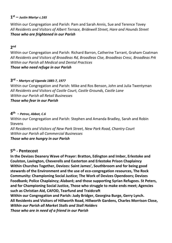## **1 st –** *Justin Martyr c.165*

Within our Congregation and Parish: Pam and Sarah Annis, Sue and Terence Tovey *All Residents and Visitors of Albert Terrace, Bridewell Street, Hare and Hounds Street Those who are frightened in our Parish* 

## **2 nd**

Within our Congregation and Parish: Richard Barron, Catherine Tarrant, Graham Coatman *All Residents and Visitors of Broadleas Rd, Broadleas Clse, Broadleas Cresc, Broadleas Prk Within our Parish all Medical and Dental Practices Those who need refuge in our Parish* 

## **3 rd -** *Martyrs of Uganda 1885-7, 1977*

Within our Congregation and Parish: Mike and Ros Benson, John and Julia Twentyman *All Residents and Visitors of Castle Court, Castle Grounds, Castle Lane Within our Parish all Retail Businesses Those who fear in our Parish*

## **4 th -** *Petroc, Abbot, C.6*

Within our Congregation and Parish: Stephen and Amanda Bradley, Sarah and Robin Stevens

*All Residents and Visitors of New Park Street, New Park Road, Chantry Court Within our Parish all Commercial Businesses Those who are hungry in our Parish* 

## **5 th - Pentecost**

**In the Devizes Deanery Wave of Prayer: Bratton, Edington and Imber, Erlestoke and Coulston, Lavington, Cheverells and Easterton and Erlestoke Prison Chaplaincy Within Churches Together, Devizes: Saint James', Southbroom and for being good stewards of the Environment and the use of eco-congregation resources, The Rock Community: Championing Social Justice; The Work of Devizes Opendoors; Devizes Foodbank; Police Chaplaincy; Alabaré; and those supporting Syrian Refugees. St Peters, and for Championing Social Justice, Those who struggle to make ends meet; Agencies such as Christian Aid, CAFOD, Tearfund and Traidcraft Within our Congregation and Parish: Judy Bridger, Georgina Burge, Gerry Lynch. All Residents and Visitors of Hillworth Road, Hillworth Gardens, Charles Morrison Close,**  *Within our Parish all Market Stalls and Stall Holders*

*Those who are in need of a friend in our Parish*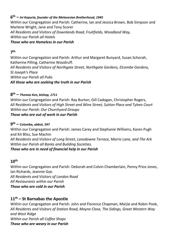## **6 th –** *Ini Kopuria, founder of the Melanesian Brotherhood, 1945*

Within our Congregation and Parish: Catherine, Ian and Jessica Brown, Bob Simpson and Marlene Wright, Jane and Tony Scorer *All Residents and Visitors of Downlands Road, Fruitfields, Woodland Way, Within our Parish all Hotels Those who are Homeless in our Parish* 

# **7 th**

Within our Congregation and Parish: Arthur and Margaret Bunyard, Susan Schorah, Katherine Pilling, Catherine Woodruff.

*All Residents and Visitors of Northgate Street, Northgate Gardens, Elcombe Gardens, St Joseph's Place Within our Parish all Pubs All those who are seeking the truth in our Parish* 

## **8 th –** *Thomas Ken, bishop, 1711*

Within our Congregation and Parish: Ray Burton, Gill Cadogan, Christopher Rogers, *All Residents and Visitors of High Street and Wine Street, Sutton Place and Tylees Court Within our Parish: Our Churchyard Groups Those who are out of work in our Parish*

## **9 th –** *Columba, abbot, 597*

Within our Congregation and Parish: James Carey and Stephanie Williams, Karen Pugh and Kit Bliss, Sue Machin

*All Residents and Visitors of Long Street, Lansdowne Terrace, Morris Lane, and The Ark Within our Parish all Banks and Building Societies.*

#### *Those who are in need of financial help in our Parish*

# **10 th**

Within our Congregation and Parish: Deborah and Colvin Chamberlain, Penny Price Jones, Ian Richards, Jeannie Gye.

*All Residents and Visitors of London Road*

*All Restaurants within our Parish*

*Those who are cold in our Parish* 

## **11th – St Barnabas the Apostle**

Within our Congregation and Parish: John and Florence Chapman, Marije and Robin Pook, *All Residents and Visitors of Station Road, Moyne Close, The Sidings, Great Western Way and West Ridge Within our Parish all Coffee Shops Those who are weary in our Parish*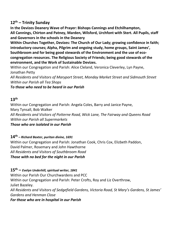## **12th – Trinity Sunday**

**In the Devizes Deanery Wave of Prayer: Bishops Cannings and Etchilhampton, All Cannings, Chirton and Patney, Marden, Wilsford, Urchfont with Stert. All Pupils, staff and Governors in the schools in the Deanery**

**Within Churches Together, Devizes: The Church of Our Lady; growing confidence in faith; introductory courses; Alpha, Pilgrim and ongoing study, home groups, Saint James', Southbroom and for being good stewards of the Environment and the use of ecocongregation resources. The Religious Society of Friends; being good stewards of the environment, and the Work of Sustainable Devizes.**

Within our Congregation and Parish: Alice Cleland, Veronica Cleverley, Lyn Payne, Jonathan Petty

*All Residents and Visitors of Maryport Street, Monday Market Street and Sidmouth Street Within our Parish all Tea Shops* 

*To those who need to be heard in our Parish*

## **13th**

Within our Congregation and Parish: Angela Coles, Barry and Janice Payne, Mary Tynsall, Bob Walker *All Residents and Visitors of Potterne Road, Wick Lane, The Fairway and Queens Road Within our Parish all Supermarkets Those who are isolated in our Parish*

## **14th** *– Richard Baxter, puritan divine, 1691*

Within our Congregation and Parish: Jonathan Cook, Chris Cox, Elizbeth Paddon, David Palmer, Rosemary and John Hawthorne *All Residents and Visitors of Southbroom Road Those with no bed for the night in our Parish*

**15th –** *Evelyn Underhill, spiritual writer, 1841*

Within our Parish Our Churchwardens and PCC

Within our Congregation and Parish: Peter Crofts, Roy and Liz Overthrow,

Juliet Bazeley.

*All Residents and Visitors of Sedgefield Gardens, Victoria Road, St Mary's Gardens, St James' Gardens and Henman Close* 

*For those who are in hospital in our Parish*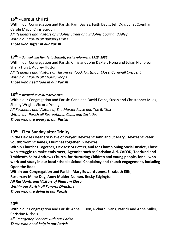# **16th – Corpus Christi**

Within our Congregation and Parish: Pam Davies, Faith Davis, Jeff Ody, Juliet Oxenham, Carole Mapp, Chris Burdon *All Residents and Visitors of St Johns Street and St Johns Court and Alley Within our Parish all Building Firms Those who suffer in our Parish*

#### **17th –** *Samuel and Henrietta Barnett, social reformers, 1913, 1936*

Within our Congregation and Parish: Chris and John Dexter, Fiona and Julian Nicholson, Sheila Hurst, Audrey Hutton *All Residents and Visitors of Hartmoor Road, Hartmoor Close, Cornwall Crescent, Within our Parish all Charity Shops Those who need food in our Parish* 

## **18 th –** *Bernard Mizeki, martyr 1896*

Within our Congregation and Parish: Carie and David Evans, Susan and Christopher Miles, Shirley Wright, Victoria Young *All Residents and Visitors of The Market Place and The Brittox Within our Parish all Recreational Clubs and Societies Those who are weary in our Parish* 

## **19th – First Sunday after Trinity**

**In the Devizes Deanery Wave of Prayer: Devizes St John and St Mary, Devizes St Peter, Southbroom St James, Churches together in Devizes**

**Within Churches Together, Devizes: St Peters, and for Championing Social Justice, Those who struggle to make ends meet; Agencies such as Christian Aid, CAFOD, Tearfund and Traidcraft, Saint Andrews Church, for Nurturing Children and young people, for all who work and study in our local schools: School Chaplaincy and church engagement, including Open the Book.**

**Within our Congregation and Parish: Mary Edward-Jones, Elizabeth Ellis, Rosemary Milne-Day, Anny Mulder-Nomen, Becky Edgington** *All Residents and Visitors of Pinetum Close Within our Parish all Funeral Directors Those who are dying in our Parish* 

## **20th**

Within our Congregation and Parish: Anna Ellison, Richard Evans, Patrick and Anne Miller, Christine Nichols

*All Emergency Services with our Parish Those who need help in our Parish*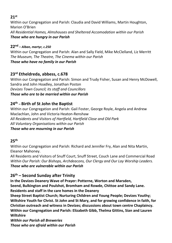## **21st**

Within our Congregation and Parish: Claudia and David Williams, Martin Houghton, Marion O'Brien *All Residential Homes, Almshouses and Sheltered Accomodation within our Parish Those who are hungry in our Parish* 

## **22 nd** *– Alban, martyr, c.250*

Within our Congregation and Parish: Alan and Sally Field, Mike McClelland, Liz Merritt *The Museum, The Theatre, The Cinema within our Parish Those who have no family in our Parish* 

## **23 rd Etheldreda, abbess, c.678**

Within our Congregation and Parish: Simon and Trudy Fisher, Susan and Henry McDowell, Sandra and John Hoadley, Jonathan Poston *Devizes Town Council; its staff and Councillors Those who are to be married within our Parish*

## **24th** *–* **Birth of St John the Baptist**

Within our Congregation and Parish: Gail Foster, George Royle, Angela and Andrew Maclachlan, John and Victoria Heaton-Renshaw *All Residents and Visitors of Hartfield, Hartfield Close and Old Park All Voluntary Organisations within our Parish Those who are mourning in our Parish* 

## **25 th**

Within our Congregation and Parish: Richard and Jennifer Fry, Alan and Nita Martin, Eleanor Mahoney.

All Residents and Visitors of Snuff Court, Snuff Street, Couch Lane and Commercial Road *Within Our Parish: Our Bishops, Archdeacons, Our Clergy and Our Lay Worship Leaders. Those who are vulnerable within our Parish*

## **26th – Second Sunday after Trinity**

**In the Devizes Deanery Wave of Prayer: Potterne, Worton and Marsden, Seend, Bulkington and Poulshot, Bromham and Rowde, Chittoe and Sandy Lane. Residents and staff in the care homes in the Deanery**

**Sheep Street Baptist Church; Nurturing Children and Young People; Devizes Youthy; Wiltshire Youth for Christ. St John and St Mary, and for growing confidence in faith, for Christian outreach and witness in Devizes; discussions about town centre Chaplaincy. Within our Congregation and Parish: Elizabeth Gibb, Thelma Gittins, Sian and Lauren Wiltshire**

*Within our Parish all Breweries Those who are afraid within our Parish*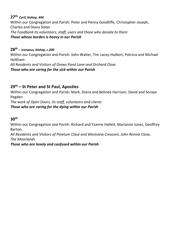#### **27th** *Cyril, bishop, 444*

Within our Congregation and Parish: Peter and Penny Goodliffe, Christopher Joseph, Charles and Diana Slater *The Foodbank its volunteers, staff, users and those who donate to them Those whose burden is heavy in our Parish* 

**28 th** *– Irenaeus, bishop, c.200* Within our Congregation and Parish: John Walter, Tim Lacey-Hulbert, Patricia and Michael Holtham *All Residents and Visitors of Drews Pond Lane and Orchard Close Those who are caring for the sick within our Parish*

## **29th – St Peter and St Paul, Apostles**

Within our Congregation and Parish: Mark, Diana and Belinda Harrison, David and Soraya Pegden

*The work of Open Doors, its staff, volunteers and clients Those who are caring for the dying within our Parish* 

## **30th**

Within our Congregation and Parish: Richard and Yzanne Hallett, Marianne Jones, Geoffrey Barton,

*All Residents and Visitors of Pinetum Close and Westview Crescent, John Rennie Close, The Moorlands*

*Those who are lonely and confused within our Parish*